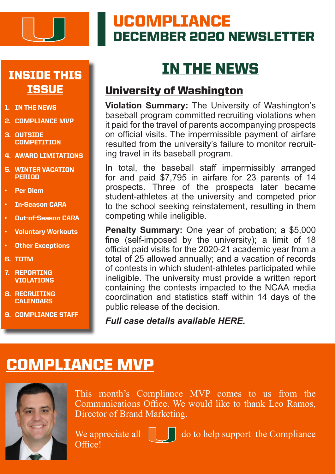

# UCOMPLIANCE DECEMBER 2020 NEWSLETTER

### INSIDE THIS **ISSUE**

- 1. IN THE NEWS
- 2. COMPLIANCE MVP
- 3. OUTSIDE **COMPETITION**
- 4. AWARD LIMITATIONS
- 5. WINTER VACATION PERIOD
- Per Diem
- In-Season CARA
- Out-of-Season CARA
- Voluntary Workouts
- **Other Exceptions**
- 6. TOTM
- 7. REPORTING **VIOLATIONS**
- 8. RECRUITING **CALENDARS**
- 9. COMPLIANCE STAFF

# IN THE NEWS

### University of Washington

**Violation Summary:** The University of Washington's baseball program committed recruiting violations when it paid for the travel of parents accompanying prospects on official visits. The impermissible payment of airfare resulted from the university's failure to monitor recruiting travel in its baseball program.

In total, the baseball staff impermissibly arranged for and paid \$7,795 in airfare for 23 parents of 14 prospects. Three of the prospects later became student-athletes at the university and competed prior to the school seeking reinstatement, resulting in them competing while ineligible.

**Penalty Summary:** One year of probation; a \$5,000 fine (self-imposed by the university); a limit of 18 official paid visits for the 2020-21 academic year from a total of 25 allowed annually; and a vacation of records of contests in which student-athletes participated while ineligible. The university must provide a written report containing the contests impacted to the NCAA media coordination and statistics staff within 14 days of the public release of the decision.

*Full case details available [HERE.](https://web3.ncaa.org/lsdbi/search/miCaseView/report?id=102872)*

### COMPLIANCE MVP



This month's Compliance MVP comes to us from the Communications Office. We would like to thank Leo Ramos, Director of Brand Marketing.

Office<sup>!</sup>

We appreciate all  $\|\cdot\|$  do to help support the Compliance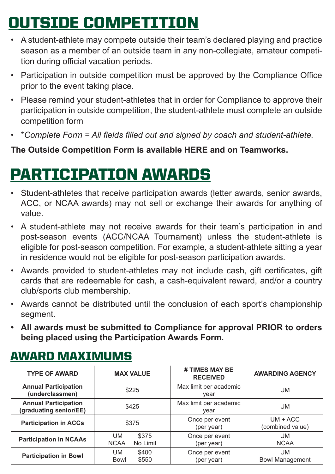# OUTSIDE COMPETITION

- A student-athlete may compete outside their team's declared playing and practice season as a member of an outside team in any non-collegiate, amateur competition during official vacation periods.
- Participation in outside competition must be approved by the Compliance Office prior to the event taking place.
- Please remind your student-athletes that in order for Compliance to approve their participation in outside competition, the student-athlete must complete an outside competition form
- \**Complete Form = All fields filled out and signed by coach and student-athlete.*

#### **The Outside Competition Form is available [HERE](https://storage.googleapis.com/hurricanesports-com/2020/04/7369dc92-outside_comp_form.pdf) and on Teamworks.**

# PARTICIPATION AWARDS

- Student-athletes that receive participation awards (letter awards, senior awards, ACC, or NCAA awards) may not sell or exchange their awards for anything of value.
- A student-athlete may not receive awards for their team's participation in and post-season events (ACC/NCAA Tournament) unless the student-athlete is eligible for post-season competition. For example, a student-athlete sitting a year in residence would not be eligible for post-season participation awards.
- Awards provided to student-athletes may not include cash, gift certificates, gift cards that are redeemable for cash, a cash-equivalent reward, and/or a country club/sports club membership.
- Awards cannot be distributed until the conclusion of each sport's championship segment.
- **• All awards must be submitted to Compliance for approval PRIOR to orders being placed using the Participation Awards Form.**

| <b>TYPE OF AWARD</b>                                  | <b>MAX VALUE</b>                              | # TIMES MAY BE<br><b>RECEIVED</b> |                                |
|-------------------------------------------------------|-----------------------------------------------|-----------------------------------|--------------------------------|
| <b>Annual Participation</b><br>(underclassmen)        | \$225                                         | Max limit per academic<br>year    | <b>UM</b>                      |
| <b>Annual Participation</b><br>(graduating senior/EE) | \$425                                         | Max limit per academic<br>year    | <b>UM</b>                      |
| <b>Participation in ACCs</b>                          | \$375                                         | Once per event<br>(per year)      | $UM + ACC$<br>(combined value) |
| <b>Participation in NCAAs</b>                         | <b>UM</b><br>\$375<br><b>NCAA</b><br>No Limit | Once per event<br>(per year)      | <b>UM</b><br><b>NCAA</b>       |
| <b>Participation in Bowl</b>                          | <b>UM</b><br>\$400<br>\$550<br><b>Bowl</b>    | Once per event<br>(per year)      | UM<br><b>Bowl Management</b>   |

### AWARD MAXIMUMS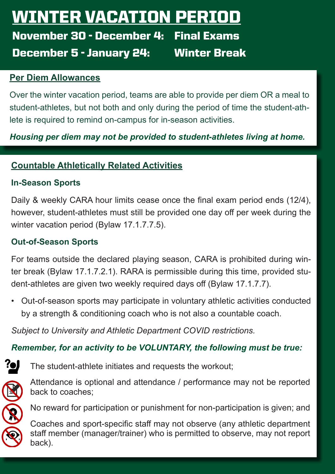# WINTER VACATION PERI

November 30 - December 4: Final Exams December 5 - January 24: Winter Break

#### **Per Diem Allowances**

Over the winter vacation period, teams are able to provide per diem OR a meal to student-athletes, but not both and only during the period of time the student-athlete is required to remind on-campus for in-season activities.

*Housing per diem may not be provided to student-athletes living at home.*

#### **Countable Athletically Related Activities**

#### **In-Season Sports**

Daily & weekly CARA hour limits cease once the final exam period ends (12/4), however, student-athletes must still be provided one day off per week during the winter vacation period (Bylaw 17.1.7.7.5).

#### **Out-of-Season Sports**

For teams outside the declared playing season, CARA is prohibited during winter break (Bylaw 17.1.7.2.1). RARA is permissible during this time, provided student-athletes are given two weekly required days off (Bylaw 17.1.7.7).

• Out-of-season sports may participate in voluntary athletic activities conducted by a strength & conditioning coach who is not also a countable coach.

*Subject to University and Athletic Department COVID restrictions.*

#### *Remember, for an activity to be VOLUNTARY, the following must be true:*



The student-athlete initiates and requests the workout;



Attendance is optional and attendance / performance may not be reported back to coaches;

No reward for participation or punishment for non-participation is given; and

Coaches and sport-specific staff may not observe (any athletic department staff member (manager/trainer) who is permitted to observe, may not report back).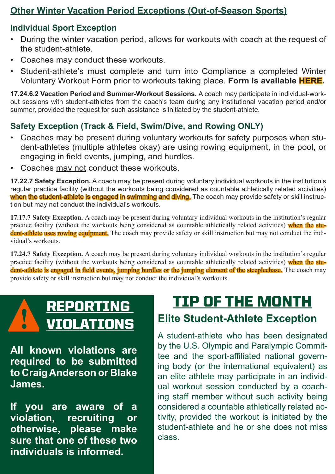#### **Other Winter Vacation Period Exceptions (Out-of-Season Sports)**

#### **Individual Sport Exception**

- During the winter vacation period, allows for workouts with coach at the request of the student-athlete.
- Coaches may conduct these workouts.
- Student-athlete's must complete and turn into Compliance a completed Winter Voluntary Workout Form prior to workouts taking place. **Form is availabl[e HERE](https://storage.googleapis.com/hurricanesports-com/2020/12/8731af4b-winter-voluntary-workouts-individual-sports.pdf).**

**17.24.6.2 Vacation Period and Summer-Workout Sessions.** A coach may participate in individual-workout sessions with student-athletes from the coach's team during any institutional vacation period and/or summer, provided the request for such assistance is initiated by the student-athlete.

#### **Safety Exception (Track & Field, Swim/Dive, and Rowing ONLY)**

- Coaches may be present during voluntary workouts for safety purposes when student-athletes (multiple athletes okay) are using rowing equipment, in the pool, or engaging in field events, jumping, and hurdles.
- Coaches may not conduct these workouts.

**17.22.7 Safety Exception.** A coach may be present during voluntary individual workouts in the institution's regular practice facility (without the workouts being considered as countable athletically related activities) when the student-athlete is engaged in swimming and diving. The coach may provide safety or skill instruction but may not conduct the individual's workouts.

**17.17.7 Safety Exception.** A coach may be present during voluntary individual workouts in the institution's regular practice facility (without the workouts being considered as countable athletically related activities) when the student-athlete uses rowing equipment. The coach may provide safety or skill instruction but may not conduct the individual's workouts.

**17.24.7 Safety Exception.** A coach may be present during voluntary individual workouts in the institution's regular practice facility (without the workouts being considered as countable athletically related activities) when the student-athlete is engaged in field events, jumping hurdles or the jumping element of the steeplechase. The coach may provide safety or skill instruction but may not conduct the individual's workouts.

**All known violations are required to be submitted to Craig Anderson or Blake James.** 

**If you are aware of a violation, recruiting or otherwise, please make sure that one of these two individuals is informed.** 

# REPORTING TIP OF THE MONTH

# VIOLATIONS **Elite Student-Athlete Exception**

A student-athlete who has been designated by the U.S. Olympic and Paralympic Committee and the sport-affiliated national governing body (or the international equivalent) as an elite athlete may participate in an individual workout session conducted by a coaching staff member without such activity being considered a countable athletically related activity, provided the workout is initiated by the student-athlete and he or she does not miss class.